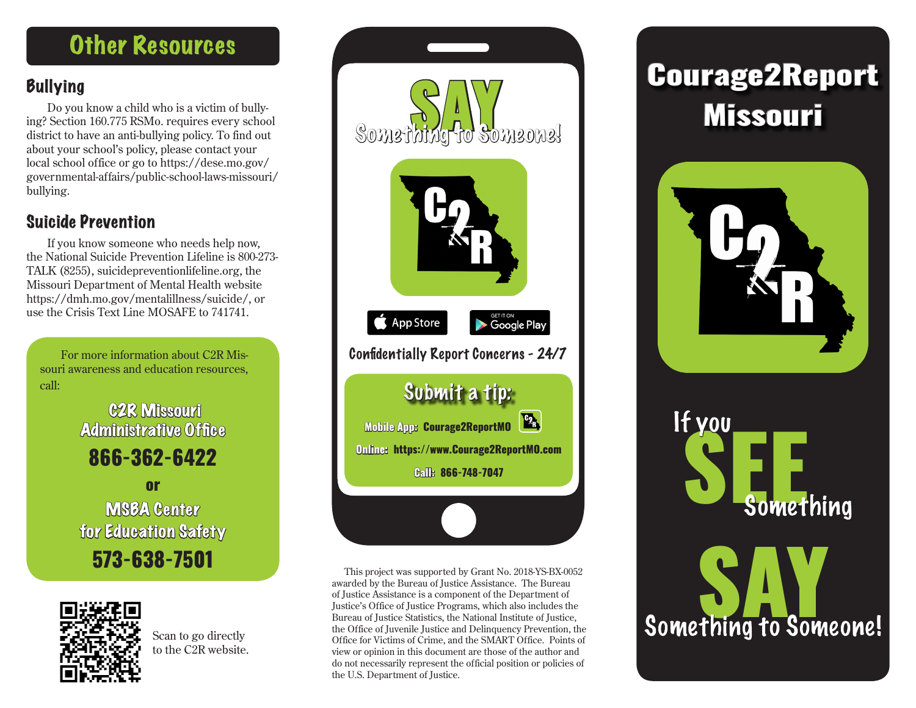### **Other Resources**

#### **Bullying**

Do you know a child who is a victim of bullying? Section 160.775 RSMo. requires every school district to have an anti-bullying policy. To find out about your school's policy, please contact your local school office or go to https://dese.mo.gov/ governmental-affairs/public-school-laws-missouri/ bullying.

#### Suicide Prevention

If you know someone who needs help now, the National Suicide Prevention Lifeline is 800-273- TALK (8255), suicidepreventionlifeline.org, the Missouri Department of Mental Health website https://dmh.mo.gov/mentalillness/suicide/, or use the Crisis Text Line MOSAFE to 741741.

For more information about C2R Missouri awareness and education resources, call:

> C2R Missouri Administrative Office 866-362-6422

> or MSBA Center for Education Safety 573-638-7501



Scan to go directly to the C2R website.



This project was supported by Grant No. 2018-YS-BX-0052 awarded by the Bureau of Justice Assistance. The Bureau of Justice Assistance is a component of the Department of Justice's Office of Justice Programs, which also includes the Bureau of Justice Statistics, the National Institute of Justice, the Office of Juvenile Justice and Delinquency Prevention, the Office for Victims of Crime, and the SMART Office. Points of view or opinion in this document are those of the author and do not necessarily represent the official position or policies of the U.S. Department of Justice.





Something to Someone!